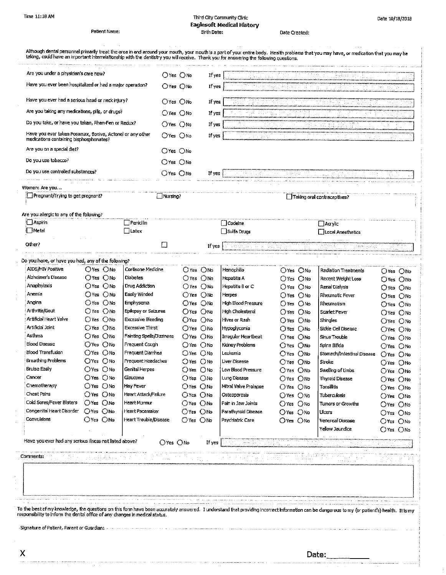## Third City Community Clinic **Eaglesoft Medical History** Birth Date:

Date 10/18/2018

Date Created:

| $O$ Yes $O$ No<br>If yes<br>$O$ Yes. $O$ No.<br>If yes<br>$O$ Yes $O$ No<br>If yes<br>OYes ONo<br>If yes<br>$O$ Yes $O$ Nn<br>If yes<br>$O$ Yes $O$ No<br>Oyes ONo<br>$O$ Yes $O$ No<br>If yes<br>_Nursing?<br>∐Taking oral contraceptives?<br><b>Penicilin</b><br>$\Box$ Codeine<br>  ∐Ασγίς<br>$\Box$ Latex<br>∐ Sulfa Drugs<br>□ Local Anesthetics<br>Ifves<br>$O$ Yes $O$ No<br>Cortisone Medicine<br>O'res ONo<br>Henrophilia<br>O'res ONo<br>Radiation Treatments<br>O'Yes ONo<br>O'Yes ONo<br>Diabetes<br>OYes ONo<br>Hepatitis A<br>OYes ONo<br>Recent Weight Loss<br>○Yes ○No<br>$\bigcirc$ Yes $\bigcirc$ No<br>Drug Addiction<br>OYes ONo<br>Hepatitis B or C<br>$O$ Yes $O$ No<br>Renal Dialysis<br>$O$ Yes $O$ No<br>Oyes ONo<br>Easily Winded<br>$O$ Yes $O$ No<br>Herpes<br>O'res ONo<br>Rheumatic Fever<br>Oyes Ond<br>Oyes Ono<br>Emohysema<br>OYes ONo<br>High Blood Pressure<br>O'res ONo<br>Rheumatism<br>OYes ONo<br>O'Yes ONo<br>Epilepsy or Selzures<br>$O$ Mo<br>High Cholesterol<br>()Yes<br>$O$ Yes $O$ No<br>Scarlet Fever<br>O'Yes ONo<br>OYes ONo<br>Excessive Bleeding<br>OYes ONo<br>Hives or Rash<br>O'Yes ONo<br>Shingles<br>O'Yes ONo<br>OYes ONo<br><b>Excessive Thirst</b><br>O'res ONo<br>Hypoglycemia<br>Oyes ONo<br>Sickle Cell Disease<br>Oyes Ond<br>OYes ()No<br>Fainting Spells/Dizziness<br>O'res ONo<br>Irregular Heartbeat<br>OYes ONo<br>Sinus Trouble<br>OYes ONo<br>$O$ Yes $O$ No<br>Frequent Cough<br>○Yes ○No<br>Kidney Problems<br>O'Yes ONo<br>Spina Bifida<br>OYes ONo<br>OYes ONo<br>Frequent Diarrhea<br>OYes ONo<br>Leukemia<br>OYes ONo<br>Stomach/Intestinal Disease<br>O'res ONo<br>OYES ONO<br>Frequent Headaches<br>Ores ONo<br>Liver Disease<br>O'res ONo<br>Stroke<br>$O$ Yes $O$ No<br>O'res ONo<br>Genital Herpes<br>O'Yes ONo<br>Low Blood Pressure<br>O'res ONo<br>Swelling of Limbs<br>Oyes ONO<br>$O$ Yes $O$ No<br>Glaucoma<br>$O$ Yes $O$ No<br>Lung Disease<br>$O$ Yes $O$ No<br><b>Thyroid Disease</b><br>O'Yes ONo<br>O'Yes ONo<br>Hay Fever<br>O'res ONo<br>Mitral Valve Prolapse<br>Tonsilitis<br>O'res ONo<br>$O$ Yes $O$ No<br>O'res ONo<br>Heart Attack/Failure<br>Oyes ONo<br>Osteoporosis<br>O'res ONo<br>Tuberculosis<br>O'res ONo<br>$O$ Yes $O$ No<br>Heart Mormur<br>O'res ONo<br>Pain in Jaw Joints<br>Ores ONo<br><b>Turnors or Growths</b><br>$O$ Yes $O$ No<br>O'Yes ONo<br>Heart Pacemaker<br>O'res ONo<br>Parathyroid Disease.<br>O'res ONo<br>Ulcers<br>O'Yes ONo<br>$O$ Yes $O$ No<br>Heart Trouble Disease<br>O'res ONo<br>Psychiatric Care<br>O'Yes ONo<br>Venereal Disease<br>O'res ONo<br>Yellow Jaundice<br>O'res ONo | Have you ever been hospitalized or had a major operation?<br>Have you ever had a serious head or neck injury?<br>Are you taking any medications, pills, or drugs?<br>Do you take, or have you taken, Phen-Fen or Redux?<br>Have you ever taken Fosamax, Boniva, Actonel or any other<br>medications containing bisphosphonates?<br>Are you on a special diet?<br>Do you use tobacco?<br>Do you use controlled substances?<br>Women: Are you<br>Pregnant/Trying to get pregnant?<br>Are you allergic to any of the following?<br>□ Aspirin<br>∏Metal<br>Other?<br>Do you have, or have you had, any of the following?<br>AIDS/HIV Positive<br>Alzheimer's Disease<br>Anaphylaxis<br>Anemia<br>Angina<br>Arthritis/Gout<br>Artificial Heart Valve<br>Artificial Joint<br>Asthma<br><b>Blood Disease</b><br><b>Blood Transfusion</b><br>Breathing Problems<br>Bruise Easily<br>Cancer<br>Chemotherapy<br>Chest Pains<br>Cold Sores/Fever Blisters<br>Congenital Heart Disorder<br>Convulsions<br>Have you ever had any serious illness not listed above?<br>O'res ONo<br>If yes<br>Comments: | Are you under a physician's care now? |  | ()Yes ()No | If yes |  |  |  |
|---------------------------------------------------------------------------------------------------------------------------------------------------------------------------------------------------------------------------------------------------------------------------------------------------------------------------------------------------------------------------------------------------------------------------------------------------------------------------------------------------------------------------------------------------------------------------------------------------------------------------------------------------------------------------------------------------------------------------------------------------------------------------------------------------------------------------------------------------------------------------------------------------------------------------------------------------------------------------------------------------------------------------------------------------------------------------------------------------------------------------------------------------------------------------------------------------------------------------------------------------------------------------------------------------------------------------------------------------------------------------------------------------------------------------------------------------------------------------------------------------------------------------------------------------------------------------------------------------------------------------------------------------------------------------------------------------------------------------------------------------------------------------------------------------------------------------------------------------------------------------------------------------------------------------------------------------------------------------------------------------------------------------------------------------------------------------------------------------------------------------------------------------------------------------------------------------------------------------------------------------------------------------------------------------------------------------------------------------------------------------------------------------------------------------------------------------------------------------------------------------------------------------------------------------------------------------------------------------------------------------|-------------------------------------------------------------------------------------------------------------------------------------------------------------------------------------------------------------------------------------------------------------------------------------------------------------------------------------------------------------------------------------------------------------------------------------------------------------------------------------------------------------------------------------------------------------------------------------------------------------------------------------------------------------------------------------------------------------------------------------------------------------------------------------------------------------------------------------------------------------------------------------------------------------------------------------------------------------------------------------------------------------------------------------------------------------------------------------------|---------------------------------------|--|------------|--------|--|--|--|
|                                                                                                                                                                                                                                                                                                                                                                                                                                                                                                                                                                                                                                                                                                                                                                                                                                                                                                                                                                                                                                                                                                                                                                                                                                                                                                                                                                                                                                                                                                                                                                                                                                                                                                                                                                                                                                                                                                                                                                                                                                                                                                                                                                                                                                                                                                                                                                                                                                                                                                                                                                                                                           |                                                                                                                                                                                                                                                                                                                                                                                                                                                                                                                                                                                                                                                                                                                                                                                                                                                                                                                                                                                                                                                                                           |                                       |  |            |        |  |  |  |
|                                                                                                                                                                                                                                                                                                                                                                                                                                                                                                                                                                                                                                                                                                                                                                                                                                                                                                                                                                                                                                                                                                                                                                                                                                                                                                                                                                                                                                                                                                                                                                                                                                                                                                                                                                                                                                                                                                                                                                                                                                                                                                                                                                                                                                                                                                                                                                                                                                                                                                                                                                                                                           |                                                                                                                                                                                                                                                                                                                                                                                                                                                                                                                                                                                                                                                                                                                                                                                                                                                                                                                                                                                                                                                                                           |                                       |  |            |        |  |  |  |
|                                                                                                                                                                                                                                                                                                                                                                                                                                                                                                                                                                                                                                                                                                                                                                                                                                                                                                                                                                                                                                                                                                                                                                                                                                                                                                                                                                                                                                                                                                                                                                                                                                                                                                                                                                                                                                                                                                                                                                                                                                                                                                                                                                                                                                                                                                                                                                                                                                                                                                                                                                                                                           |                                                                                                                                                                                                                                                                                                                                                                                                                                                                                                                                                                                                                                                                                                                                                                                                                                                                                                                                                                                                                                                                                           |                                       |  |            |        |  |  |  |
|                                                                                                                                                                                                                                                                                                                                                                                                                                                                                                                                                                                                                                                                                                                                                                                                                                                                                                                                                                                                                                                                                                                                                                                                                                                                                                                                                                                                                                                                                                                                                                                                                                                                                                                                                                                                                                                                                                                                                                                                                                                                                                                                                                                                                                                                                                                                                                                                                                                                                                                                                                                                                           |                                                                                                                                                                                                                                                                                                                                                                                                                                                                                                                                                                                                                                                                                                                                                                                                                                                                                                                                                                                                                                                                                           |                                       |  |            |        |  |  |  |
|                                                                                                                                                                                                                                                                                                                                                                                                                                                                                                                                                                                                                                                                                                                                                                                                                                                                                                                                                                                                                                                                                                                                                                                                                                                                                                                                                                                                                                                                                                                                                                                                                                                                                                                                                                                                                                                                                                                                                                                                                                                                                                                                                                                                                                                                                                                                                                                                                                                                                                                                                                                                                           |                                                                                                                                                                                                                                                                                                                                                                                                                                                                                                                                                                                                                                                                                                                                                                                                                                                                                                                                                                                                                                                                                           |                                       |  |            |        |  |  |  |
|                                                                                                                                                                                                                                                                                                                                                                                                                                                                                                                                                                                                                                                                                                                                                                                                                                                                                                                                                                                                                                                                                                                                                                                                                                                                                                                                                                                                                                                                                                                                                                                                                                                                                                                                                                                                                                                                                                                                                                                                                                                                                                                                                                                                                                                                                                                                                                                                                                                                                                                                                                                                                           |                                                                                                                                                                                                                                                                                                                                                                                                                                                                                                                                                                                                                                                                                                                                                                                                                                                                                                                                                                                                                                                                                           |                                       |  |            |        |  |  |  |
|                                                                                                                                                                                                                                                                                                                                                                                                                                                                                                                                                                                                                                                                                                                                                                                                                                                                                                                                                                                                                                                                                                                                                                                                                                                                                                                                                                                                                                                                                                                                                                                                                                                                                                                                                                                                                                                                                                                                                                                                                                                                                                                                                                                                                                                                                                                                                                                                                                                                                                                                                                                                                           |                                                                                                                                                                                                                                                                                                                                                                                                                                                                                                                                                                                                                                                                                                                                                                                                                                                                                                                                                                                                                                                                                           |                                       |  |            |        |  |  |  |
|                                                                                                                                                                                                                                                                                                                                                                                                                                                                                                                                                                                                                                                                                                                                                                                                                                                                                                                                                                                                                                                                                                                                                                                                                                                                                                                                                                                                                                                                                                                                                                                                                                                                                                                                                                                                                                                                                                                                                                                                                                                                                                                                                                                                                                                                                                                                                                                                                                                                                                                                                                                                                           |                                                                                                                                                                                                                                                                                                                                                                                                                                                                                                                                                                                                                                                                                                                                                                                                                                                                                                                                                                                                                                                                                           |                                       |  |            |        |  |  |  |
|                                                                                                                                                                                                                                                                                                                                                                                                                                                                                                                                                                                                                                                                                                                                                                                                                                                                                                                                                                                                                                                                                                                                                                                                                                                                                                                                                                                                                                                                                                                                                                                                                                                                                                                                                                                                                                                                                                                                                                                                                                                                                                                                                                                                                                                                                                                                                                                                                                                                                                                                                                                                                           |                                                                                                                                                                                                                                                                                                                                                                                                                                                                                                                                                                                                                                                                                                                                                                                                                                                                                                                                                                                                                                                                                           |                                       |  |            |        |  |  |  |
|                                                                                                                                                                                                                                                                                                                                                                                                                                                                                                                                                                                                                                                                                                                                                                                                                                                                                                                                                                                                                                                                                                                                                                                                                                                                                                                                                                                                                                                                                                                                                                                                                                                                                                                                                                                                                                                                                                                                                                                                                                                                                                                                                                                                                                                                                                                                                                                                                                                                                                                                                                                                                           |                                                                                                                                                                                                                                                                                                                                                                                                                                                                                                                                                                                                                                                                                                                                                                                                                                                                                                                                                                                                                                                                                           |                                       |  |            |        |  |  |  |
|                                                                                                                                                                                                                                                                                                                                                                                                                                                                                                                                                                                                                                                                                                                                                                                                                                                                                                                                                                                                                                                                                                                                                                                                                                                                                                                                                                                                                                                                                                                                                                                                                                                                                                                                                                                                                                                                                                                                                                                                                                                                                                                                                                                                                                                                                                                                                                                                                                                                                                                                                                                                                           |                                                                                                                                                                                                                                                                                                                                                                                                                                                                                                                                                                                                                                                                                                                                                                                                                                                                                                                                                                                                                                                                                           |                                       |  |            |        |  |  |  |
|                                                                                                                                                                                                                                                                                                                                                                                                                                                                                                                                                                                                                                                                                                                                                                                                                                                                                                                                                                                                                                                                                                                                                                                                                                                                                                                                                                                                                                                                                                                                                                                                                                                                                                                                                                                                                                                                                                                                                                                                                                                                                                                                                                                                                                                                                                                                                                                                                                                                                                                                                                                                                           |                                                                                                                                                                                                                                                                                                                                                                                                                                                                                                                                                                                                                                                                                                                                                                                                                                                                                                                                                                                                                                                                                           |                                       |  |            |        |  |  |  |
|                                                                                                                                                                                                                                                                                                                                                                                                                                                                                                                                                                                                                                                                                                                                                                                                                                                                                                                                                                                                                                                                                                                                                                                                                                                                                                                                                                                                                                                                                                                                                                                                                                                                                                                                                                                                                                                                                                                                                                                                                                                                                                                                                                                                                                                                                                                                                                                                                                                                                                                                                                                                                           |                                                                                                                                                                                                                                                                                                                                                                                                                                                                                                                                                                                                                                                                                                                                                                                                                                                                                                                                                                                                                                                                                           |                                       |  |            |        |  |  |  |
|                                                                                                                                                                                                                                                                                                                                                                                                                                                                                                                                                                                                                                                                                                                                                                                                                                                                                                                                                                                                                                                                                                                                                                                                                                                                                                                                                                                                                                                                                                                                                                                                                                                                                                                                                                                                                                                                                                                                                                                                                                                                                                                                                                                                                                                                                                                                                                                                                                                                                                                                                                                                                           |                                                                                                                                                                                                                                                                                                                                                                                                                                                                                                                                                                                                                                                                                                                                                                                                                                                                                                                                                                                                                                                                                           |                                       |  |            |        |  |  |  |
|                                                                                                                                                                                                                                                                                                                                                                                                                                                                                                                                                                                                                                                                                                                                                                                                                                                                                                                                                                                                                                                                                                                                                                                                                                                                                                                                                                                                                                                                                                                                                                                                                                                                                                                                                                                                                                                                                                                                                                                                                                                                                                                                                                                                                                                                                                                                                                                                                                                                                                                                                                                                                           |                                                                                                                                                                                                                                                                                                                                                                                                                                                                                                                                                                                                                                                                                                                                                                                                                                                                                                                                                                                                                                                                                           |                                       |  |            |        |  |  |  |
|                                                                                                                                                                                                                                                                                                                                                                                                                                                                                                                                                                                                                                                                                                                                                                                                                                                                                                                                                                                                                                                                                                                                                                                                                                                                                                                                                                                                                                                                                                                                                                                                                                                                                                                                                                                                                                                                                                                                                                                                                                                                                                                                                                                                                                                                                                                                                                                                                                                                                                                                                                                                                           |                                                                                                                                                                                                                                                                                                                                                                                                                                                                                                                                                                                                                                                                                                                                                                                                                                                                                                                                                                                                                                                                                           |                                       |  |            |        |  |  |  |
|                                                                                                                                                                                                                                                                                                                                                                                                                                                                                                                                                                                                                                                                                                                                                                                                                                                                                                                                                                                                                                                                                                                                                                                                                                                                                                                                                                                                                                                                                                                                                                                                                                                                                                                                                                                                                                                                                                                                                                                                                                                                                                                                                                                                                                                                                                                                                                                                                                                                                                                                                                                                                           |                                                                                                                                                                                                                                                                                                                                                                                                                                                                                                                                                                                                                                                                                                                                                                                                                                                                                                                                                                                                                                                                                           |                                       |  |            |        |  |  |  |
|                                                                                                                                                                                                                                                                                                                                                                                                                                                                                                                                                                                                                                                                                                                                                                                                                                                                                                                                                                                                                                                                                                                                                                                                                                                                                                                                                                                                                                                                                                                                                                                                                                                                                                                                                                                                                                                                                                                                                                                                                                                                                                                                                                                                                                                                                                                                                                                                                                                                                                                                                                                                                           |                                                                                                                                                                                                                                                                                                                                                                                                                                                                                                                                                                                                                                                                                                                                                                                                                                                                                                                                                                                                                                                                                           |                                       |  |            |        |  |  |  |
|                                                                                                                                                                                                                                                                                                                                                                                                                                                                                                                                                                                                                                                                                                                                                                                                                                                                                                                                                                                                                                                                                                                                                                                                                                                                                                                                                                                                                                                                                                                                                                                                                                                                                                                                                                                                                                                                                                                                                                                                                                                                                                                                                                                                                                                                                                                                                                                                                                                                                                                                                                                                                           |                                                                                                                                                                                                                                                                                                                                                                                                                                                                                                                                                                                                                                                                                                                                                                                                                                                                                                                                                                                                                                                                                           |                                       |  |            |        |  |  |  |
|                                                                                                                                                                                                                                                                                                                                                                                                                                                                                                                                                                                                                                                                                                                                                                                                                                                                                                                                                                                                                                                                                                                                                                                                                                                                                                                                                                                                                                                                                                                                                                                                                                                                                                                                                                                                                                                                                                                                                                                                                                                                                                                                                                                                                                                                                                                                                                                                                                                                                                                                                                                                                           |                                                                                                                                                                                                                                                                                                                                                                                                                                                                                                                                                                                                                                                                                                                                                                                                                                                                                                                                                                                                                                                                                           |                                       |  |            |        |  |  |  |
|                                                                                                                                                                                                                                                                                                                                                                                                                                                                                                                                                                                                                                                                                                                                                                                                                                                                                                                                                                                                                                                                                                                                                                                                                                                                                                                                                                                                                                                                                                                                                                                                                                                                                                                                                                                                                                                                                                                                                                                                                                                                                                                                                                                                                                                                                                                                                                                                                                                                                                                                                                                                                           |                                                                                                                                                                                                                                                                                                                                                                                                                                                                                                                                                                                                                                                                                                                                                                                                                                                                                                                                                                                                                                                                                           |                                       |  |            |        |  |  |  |
|                                                                                                                                                                                                                                                                                                                                                                                                                                                                                                                                                                                                                                                                                                                                                                                                                                                                                                                                                                                                                                                                                                                                                                                                                                                                                                                                                                                                                                                                                                                                                                                                                                                                                                                                                                                                                                                                                                                                                                                                                                                                                                                                                                                                                                                                                                                                                                                                                                                                                                                                                                                                                           |                                                                                                                                                                                                                                                                                                                                                                                                                                                                                                                                                                                                                                                                                                                                                                                                                                                                                                                                                                                                                                                                                           |                                       |  |            |        |  |  |  |
|                                                                                                                                                                                                                                                                                                                                                                                                                                                                                                                                                                                                                                                                                                                                                                                                                                                                                                                                                                                                                                                                                                                                                                                                                                                                                                                                                                                                                                                                                                                                                                                                                                                                                                                                                                                                                                                                                                                                                                                                                                                                                                                                                                                                                                                                                                                                                                                                                                                                                                                                                                                                                           |                                                                                                                                                                                                                                                                                                                                                                                                                                                                                                                                                                                                                                                                                                                                                                                                                                                                                                                                                                                                                                                                                           |                                       |  |            |        |  |  |  |
|                                                                                                                                                                                                                                                                                                                                                                                                                                                                                                                                                                                                                                                                                                                                                                                                                                                                                                                                                                                                                                                                                                                                                                                                                                                                                                                                                                                                                                                                                                                                                                                                                                                                                                                                                                                                                                                                                                                                                                                                                                                                                                                                                                                                                                                                                                                                                                                                                                                                                                                                                                                                                           |                                                                                                                                                                                                                                                                                                                                                                                                                                                                                                                                                                                                                                                                                                                                                                                                                                                                                                                                                                                                                                                                                           |                                       |  |            |        |  |  |  |
|                                                                                                                                                                                                                                                                                                                                                                                                                                                                                                                                                                                                                                                                                                                                                                                                                                                                                                                                                                                                                                                                                                                                                                                                                                                                                                                                                                                                                                                                                                                                                                                                                                                                                                                                                                                                                                                                                                                                                                                                                                                                                                                                                                                                                                                                                                                                                                                                                                                                                                                                                                                                                           |                                                                                                                                                                                                                                                                                                                                                                                                                                                                                                                                                                                                                                                                                                                                                                                                                                                                                                                                                                                                                                                                                           |                                       |  |            |        |  |  |  |
|                                                                                                                                                                                                                                                                                                                                                                                                                                                                                                                                                                                                                                                                                                                                                                                                                                                                                                                                                                                                                                                                                                                                                                                                                                                                                                                                                                                                                                                                                                                                                                                                                                                                                                                                                                                                                                                                                                                                                                                                                                                                                                                                                                                                                                                                                                                                                                                                                                                                                                                                                                                                                           |                                                                                                                                                                                                                                                                                                                                                                                                                                                                                                                                                                                                                                                                                                                                                                                                                                                                                                                                                                                                                                                                                           |                                       |  |            |        |  |  |  |
|                                                                                                                                                                                                                                                                                                                                                                                                                                                                                                                                                                                                                                                                                                                                                                                                                                                                                                                                                                                                                                                                                                                                                                                                                                                                                                                                                                                                                                                                                                                                                                                                                                                                                                                                                                                                                                                                                                                                                                                                                                                                                                                                                                                                                                                                                                                                                                                                                                                                                                                                                                                                                           |                                                                                                                                                                                                                                                                                                                                                                                                                                                                                                                                                                                                                                                                                                                                                                                                                                                                                                                                                                                                                                                                                           |                                       |  |            |        |  |  |  |
|                                                                                                                                                                                                                                                                                                                                                                                                                                                                                                                                                                                                                                                                                                                                                                                                                                                                                                                                                                                                                                                                                                                                                                                                                                                                                                                                                                                                                                                                                                                                                                                                                                                                                                                                                                                                                                                                                                                                                                                                                                                                                                                                                                                                                                                                                                                                                                                                                                                                                                                                                                                                                           |                                                                                                                                                                                                                                                                                                                                                                                                                                                                                                                                                                                                                                                                                                                                                                                                                                                                                                                                                                                                                                                                                           |                                       |  |            |        |  |  |  |
|                                                                                                                                                                                                                                                                                                                                                                                                                                                                                                                                                                                                                                                                                                                                                                                                                                                                                                                                                                                                                                                                                                                                                                                                                                                                                                                                                                                                                                                                                                                                                                                                                                                                                                                                                                                                                                                                                                                                                                                                                                                                                                                                                                                                                                                                                                                                                                                                                                                                                                                                                                                                                           |                                                                                                                                                                                                                                                                                                                                                                                                                                                                                                                                                                                                                                                                                                                                                                                                                                                                                                                                                                                                                                                                                           |                                       |  |            |        |  |  |  |
|                                                                                                                                                                                                                                                                                                                                                                                                                                                                                                                                                                                                                                                                                                                                                                                                                                                                                                                                                                                                                                                                                                                                                                                                                                                                                                                                                                                                                                                                                                                                                                                                                                                                                                                                                                                                                                                                                                                                                                                                                                                                                                                                                                                                                                                                                                                                                                                                                                                                                                                                                                                                                           |                                                                                                                                                                                                                                                                                                                                                                                                                                                                                                                                                                                                                                                                                                                                                                                                                                                                                                                                                                                                                                                                                           |                                       |  |            |        |  |  |  |
|                                                                                                                                                                                                                                                                                                                                                                                                                                                                                                                                                                                                                                                                                                                                                                                                                                                                                                                                                                                                                                                                                                                                                                                                                                                                                                                                                                                                                                                                                                                                                                                                                                                                                                                                                                                                                                                                                                                                                                                                                                                                                                                                                                                                                                                                                                                                                                                                                                                                                                                                                                                                                           |                                                                                                                                                                                                                                                                                                                                                                                                                                                                                                                                                                                                                                                                                                                                                                                                                                                                                                                                                                                                                                                                                           |                                       |  |            |        |  |  |  |
|                                                                                                                                                                                                                                                                                                                                                                                                                                                                                                                                                                                                                                                                                                                                                                                                                                                                                                                                                                                                                                                                                                                                                                                                                                                                                                                                                                                                                                                                                                                                                                                                                                                                                                                                                                                                                                                                                                                                                                                                                                                                                                                                                                                                                                                                                                                                                                                                                                                                                                                                                                                                                           |                                                                                                                                                                                                                                                                                                                                                                                                                                                                                                                                                                                                                                                                                                                                                                                                                                                                                                                                                                                                                                                                                           |                                       |  |            |        |  |  |  |
|                                                                                                                                                                                                                                                                                                                                                                                                                                                                                                                                                                                                                                                                                                                                                                                                                                                                                                                                                                                                                                                                                                                                                                                                                                                                                                                                                                                                                                                                                                                                                                                                                                                                                                                                                                                                                                                                                                                                                                                                                                                                                                                                                                                                                                                                                                                                                                                                                                                                                                                                                                                                                           |                                                                                                                                                                                                                                                                                                                                                                                                                                                                                                                                                                                                                                                                                                                                                                                                                                                                                                                                                                                                                                                                                           |                                       |  |            |        |  |  |  |
|                                                                                                                                                                                                                                                                                                                                                                                                                                                                                                                                                                                                                                                                                                                                                                                                                                                                                                                                                                                                                                                                                                                                                                                                                                                                                                                                                                                                                                                                                                                                                                                                                                                                                                                                                                                                                                                                                                                                                                                                                                                                                                                                                                                                                                                                                                                                                                                                                                                                                                                                                                                                                           |                                                                                                                                                                                                                                                                                                                                                                                                                                                                                                                                                                                                                                                                                                                                                                                                                                                                                                                                                                                                                                                                                           |                                       |  |            |        |  |  |  |
|                                                                                                                                                                                                                                                                                                                                                                                                                                                                                                                                                                                                                                                                                                                                                                                                                                                                                                                                                                                                                                                                                                                                                                                                                                                                                                                                                                                                                                                                                                                                                                                                                                                                                                                                                                                                                                                                                                                                                                                                                                                                                                                                                                                                                                                                                                                                                                                                                                                                                                                                                                                                                           |                                                                                                                                                                                                                                                                                                                                                                                                                                                                                                                                                                                                                                                                                                                                                                                                                                                                                                                                                                                                                                                                                           |                                       |  |            |        |  |  |  |
|                                                                                                                                                                                                                                                                                                                                                                                                                                                                                                                                                                                                                                                                                                                                                                                                                                                                                                                                                                                                                                                                                                                                                                                                                                                                                                                                                                                                                                                                                                                                                                                                                                                                                                                                                                                                                                                                                                                                                                                                                                                                                                                                                                                                                                                                                                                                                                                                                                                                                                                                                                                                                           |                                                                                                                                                                                                                                                                                                                                                                                                                                                                                                                                                                                                                                                                                                                                                                                                                                                                                                                                                                                                                                                                                           |                                       |  |            |        |  |  |  |
|                                                                                                                                                                                                                                                                                                                                                                                                                                                                                                                                                                                                                                                                                                                                                                                                                                                                                                                                                                                                                                                                                                                                                                                                                                                                                                                                                                                                                                                                                                                                                                                                                                                                                                                                                                                                                                                                                                                                                                                                                                                                                                                                                                                                                                                                                                                                                                                                                                                                                                                                                                                                                           |                                                                                                                                                                                                                                                                                                                                                                                                                                                                                                                                                                                                                                                                                                                                                                                                                                                                                                                                                                                                                                                                                           |                                       |  |            |        |  |  |  |
|                                                                                                                                                                                                                                                                                                                                                                                                                                                                                                                                                                                                                                                                                                                                                                                                                                                                                                                                                                                                                                                                                                                                                                                                                                                                                                                                                                                                                                                                                                                                                                                                                                                                                                                                                                                                                                                                                                                                                                                                                                                                                                                                                                                                                                                                                                                                                                                                                                                                                                                                                                                                                           |                                                                                                                                                                                                                                                                                                                                                                                                                                                                                                                                                                                                                                                                                                                                                                                                                                                                                                                                                                                                                                                                                           |                                       |  |            |        |  |  |  |
|                                                                                                                                                                                                                                                                                                                                                                                                                                                                                                                                                                                                                                                                                                                                                                                                                                                                                                                                                                                                                                                                                                                                                                                                                                                                                                                                                                                                                                                                                                                                                                                                                                                                                                                                                                                                                                                                                                                                                                                                                                                                                                                                                                                                                                                                                                                                                                                                                                                                                                                                                                                                                           |                                                                                                                                                                                                                                                                                                                                                                                                                                                                                                                                                                                                                                                                                                                                                                                                                                                                                                                                                                                                                                                                                           |                                       |  |            |        |  |  |  |
|                                                                                                                                                                                                                                                                                                                                                                                                                                                                                                                                                                                                                                                                                                                                                                                                                                                                                                                                                                                                                                                                                                                                                                                                                                                                                                                                                                                                                                                                                                                                                                                                                                                                                                                                                                                                                                                                                                                                                                                                                                                                                                                                                                                                                                                                                                                                                                                                                                                                                                                                                                                                                           |                                                                                                                                                                                                                                                                                                                                                                                                                                                                                                                                                                                                                                                                                                                                                                                                                                                                                                                                                                                                                                                                                           |                                       |  |            |        |  |  |  |
|                                                                                                                                                                                                                                                                                                                                                                                                                                                                                                                                                                                                                                                                                                                                                                                                                                                                                                                                                                                                                                                                                                                                                                                                                                                                                                                                                                                                                                                                                                                                                                                                                                                                                                                                                                                                                                                                                                                                                                                                                                                                                                                                                                                                                                                                                                                                                                                                                                                                                                                                                                                                                           |                                                                                                                                                                                                                                                                                                                                                                                                                                                                                                                                                                                                                                                                                                                                                                                                                                                                                                                                                                                                                                                                                           |                                       |  |            |        |  |  |  |

To the best of my knowledge, the questions on this form have been accurately answered. I understand that providing incorrect knormation can be dangerous to my (or patient's) health. It is my<br>responsibility to inform the de

 $\cdots$ 

للمستريب

.<br>In the context construction of the second context of the communication of the context of the context of the con

 $Date:$ 

and the contract and make more moment

and the communication of the communication of the company of the company of the company of the company of the company of the company of the company of the company of the company of the company of the company of the company

Signature of Patient, Parent or Guardian: William State Communication

والوالي والمحتمد فللمستقطع والالا